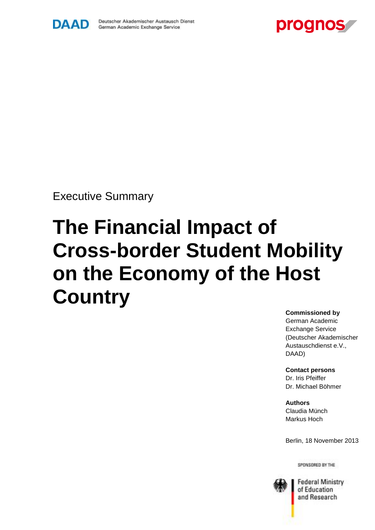



Executive Summary

# **The Financial Impact of Cross-border Student Mobility on the Economy of the Host Country**

# **Commissioned by**

German Academic Exchange Service (Deutscher Akademischer Austauschdienst e.V., DAAD)

**Contact persons** Dr. Iris Pfeiffer Dr. Michael Böhmer

**Authors** Claudia Münch Markus Hoch

Berlin, 18 November 2013

SPONSORED BY THE



**Federal Ministry** of Education and Research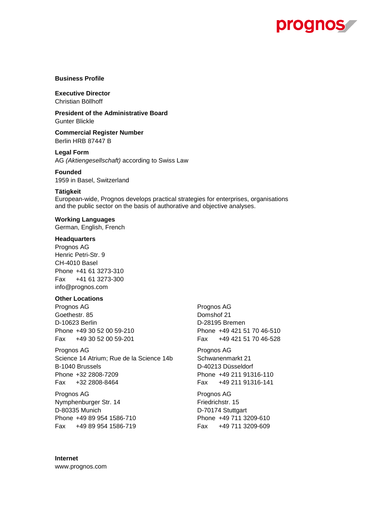

#### **Business Profile**

**Executive Director** Christian Böllhoff

**President of the Administrative Board** Gunter Blickle

**Commercial Register Number** Berlin HRB 87447 B

**Legal Form** AG *(Aktiengesellschaft)* according to Swiss Law

#### **Founded**

1959 in Basel, Switzerland

#### **Tätigkeit**

European-wide, Prognos develops practical strategies for enterprises, organisations and the public sector on the basis of authorative and objective analyses.

#### **Working Languages**

German, English, French

#### **Headquarters**

Prognos AG Henric Petri-Str. 9 CH-4010 Basel Phone +41 61 3273-310 Fax +41 61 3273-300 info@prognos.com

#### **Other Locations**

Prognos AG Prognos AG Prognos AG Prognos AG Prognos AG Prognos AG Prognos AG Prognos AG Prognos AG Prognos AG  $P$ Goethestr. 85 Domshof 21 D-10623 Berlin D-28195 Bremen

Prognos AG Prognos AG Prognos AG Prognos AG Prognos AG Prognos AG Prognos AG Prognos AG Prognos AG Prognos AG  $P$ Science 14 Atrium; Rue de la Science 14b Schwanenmarkt 21 B-1040 Brussels **D-40213** Düsseldorf Phone +32 2808-7209 Phone +49 211 91316-110 Fax +32 2808-8464 Fax +49 211 91316-141

Prognos AG Prognos AG Nymphenburger Str. 14 Friedrichstr. 15 D-80335 Munich D-70174 Stuttgart Phone +49 89 954 1586-710 Phone +49 711 3209-610 Fax +49 89 954 1586-719 Fax +49 711 3209-609

Phone +49 30 52 00 59-210 Phone +49 421 51 70 46-510 Fax +49 30 52 00 59-201 Fax +49 421 51 70 46-528

**Internet** www.prognos.com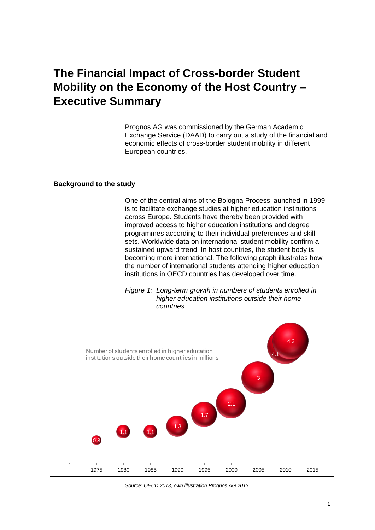# **The Financial Impact of Cross-border Student Mobility on the Economy of the Host Country – Executive Summary**

Prognos AG was commissioned by the German Academic Exchange Service (DAAD) to carry out a study of the financial and economic effects of cross-border student mobility in different European countries.

#### **Background to the study**

One of the central aims of the Bologna Process launched in 1999 is to facilitate exchange studies at higher education institutions across Europe. Students have thereby been provided with improved access to higher education institutions and degree programmes according to their individual preferences and skill sets. Worldwide data on international student mobility confirm a sustained upward trend. In host countries, the student body is becoming more international. The following graph illustrates how the number of international students attending higher education institutions in OECD countries has developed over time.

*Figure 1: Long-term growth in numbers of students enrolled in higher education institutions outside their home countries*



*Source: OECD 2013, own illustration Prognos AG 2013*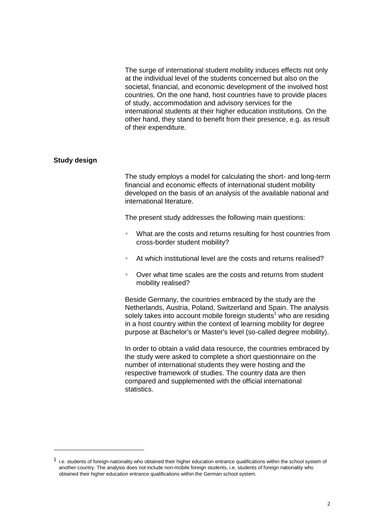The surge of international student mobility induces effects not only at the individual level of the students concerned but also on the societal, financial, and economic development of the involved host countries. On the one hand, host countries have to provide places of study, accommodation and advisory services for the international students at their higher education institutions. On the other hand, they stand to benefit from their presence, e.g. as result of their expenditure.

#### **Study design**

1

The study employs a model for calculating the short- and long-term financial and economic effects of international student mobility developed on the basis of an analysis of the available national and international literature.

The present study addresses the following main questions:

- What are the costs and returns resulting for host countries from cross-border student mobility?
- At which institutional level are the costs and returns realised?
- Over what time scales are the costs and returns from student mobility realised?

Beside Germany, the countries embraced by the study are the Netherlands, Austria, Poland, Switzerland and Spain. The analysis solely takes into account mobile foreign students<sup>1</sup> who are residing in a host country within the context of learning mobility for degree purpose at Bachelor's or Master's level (so-called degree mobility).

In order to obtain a valid data resource, the countries embraced by the study were asked to complete a short questionnaire on the number of international students they were hosting and the respective framework of studies. The country data are then compared and supplemented with the official international statistics.

 $<sup>1</sup>$  i.e. students of foreign nationality who obtained their higher education entrance qualifications within the school system of</sup> another country. The analysis does not include non-mobile foreign students, i.e. students of foreign nationality who obtained their higher education entrance qualifications within the German school system.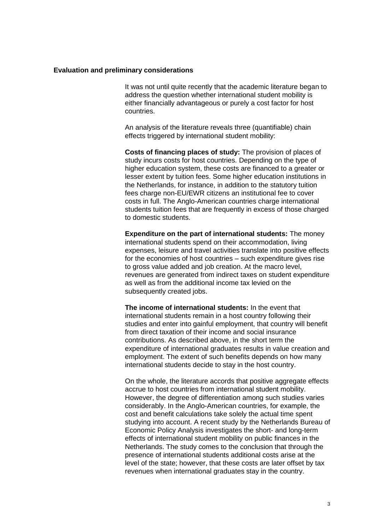#### **Evaluation and preliminary considerations**

It was not until quite recently that the academic literature began to address the question whether international student mobility is either financially advantageous or purely a cost factor for host countries.

An analysis of the literature reveals three (quantifiable) chain effects triggered by international student mobility:

**Costs of financing places of study:** The provision of places of study incurs costs for host countries. Depending on the type of higher education system, these costs are financed to a greater or lesser extent by tuition fees. Some higher education institutions in the Netherlands, for instance, in addition to the statutory tuition fees charge non-EU/EWR citizens an institutional fee to cover costs in full. The Anglo-American countries charge international students tuition fees that are frequently in excess of those charged to domestic students.

**Expenditure on the part of international students:** The money international students spend on their accommodation, living expenses, leisure and travel activities translate into positive effects for the economies of host countries – such expenditure gives rise to gross value added and job creation. At the macro level, revenues are generated from indirect taxes on student expenditure as well as from the additional income tax levied on the subsequently created jobs.

**The income of international students:** In the event that international students remain in a host country following their studies and enter into gainful employment, that country will benefit from direct taxation of their income and social insurance contributions. As described above, in the short term the expenditure of international graduates results in value creation and employment. The extent of such benefits depends on how many international students decide to stay in the host country.

On the whole, the literature accords that positive aggregate effects accrue to host countries from international student mobility. However, the degree of differentiation among such studies varies considerably. In the Anglo-American countries, for example, the cost and benefit calculations take solely the actual time spent studying into account. A recent study by the Netherlands Bureau of Economic Policy Analysis investigates the short- and long-term effects of international student mobility on public finances in the Netherlands. The study comes to the conclusion that through the presence of international students additional costs arise at the level of the state; however, that these costs are later offset by tax revenues when international graduates stay in the country.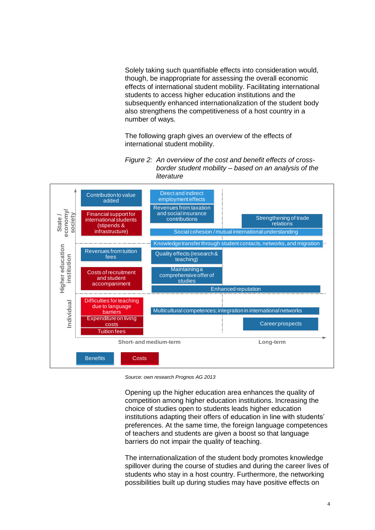Solely taking such quantifiable effects into consideration would, though, be inappropriate for assessing the overall economic effects of international student mobility. Facilitating international students to access higher education institutions and the subsequently enhanced internationalization of the student body also strengthens the competitiveness of a host country in a number of ways.

The following graph gives an overview of the effects of international student mobility.





*Source: own research Prognos AG 2013*

Opening up the higher education area enhances the quality of competition among higher education institutions. Increasing the choice of studies open to students leads higher education institutions adapting their offers of education in line with students' preferences. At the same time, the foreign language competences of teachers and students are given a boost so that language barriers do not impair the quality of teaching.

The internationalization of the student body promotes knowledge spillover during the course of studies and during the career lives of students who stay in a host country. Furthermore, the networking possibilities built up during studies may have positive effects on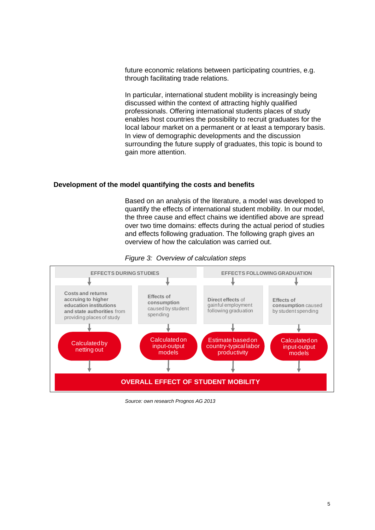future economic relations between participating countries, e.g. through facilitating trade relations.

In particular, international student mobility is increasingly being discussed within the context of attracting highly qualified professionals. Offering international students places of study enables host countries the possibility to recruit graduates for the local labour market on a permanent or at least a temporary basis. In view of demographic developments and the discussion surrounding the future supply of graduates, this topic is bound to gain more attention.

# **Development of the model quantifying the costs and benefits**

Based on an analysis of the literature, a model was developed to quantify the effects of international student mobility. In our model, the three cause and effect chains we identified above are spread over two time domains: effects during the actual period of studies and effects following graduation. The following graph gives an overview of how the calculation was carried out.



*Figure 3: Overview of calculation steps*

*Source: own research Prognos AG 2013*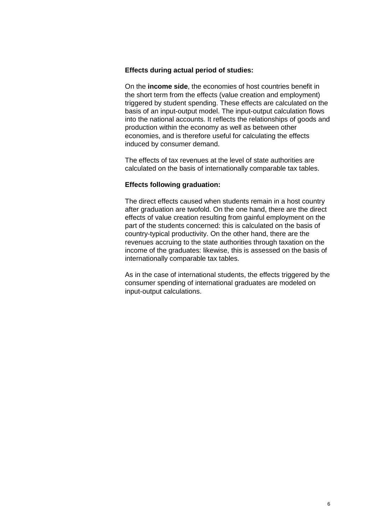# **Effects during actual period of studies:**

On the **income side**, the economies of host countries benefit in the short term from the effects (value creation and employment) triggered by student spending. These effects are calculated on the basis of an input-output model. The input-output calculation flows into the national accounts. It reflects the relationships of goods and production within the economy as well as between other economies, and is therefore useful for calculating the effects induced by consumer demand.

The effects of tax revenues at the level of state authorities are calculated on the basis of internationally comparable tax tables.

## **Effects following graduation:**

The direct effects caused when students remain in a host country after graduation are twofold. On the one hand, there are the direct effects of value creation resulting from gainful employment on the part of the students concerned: this is calculated on the basis of country-typical productivity. On the other hand, there are the revenues accruing to the state authorities through taxation on the income of the graduates: likewise, this is assessed on the basis of internationally comparable tax tables.

As in the case of international students, the effects triggered by the consumer spending of international graduates are modeled on input-output calculations.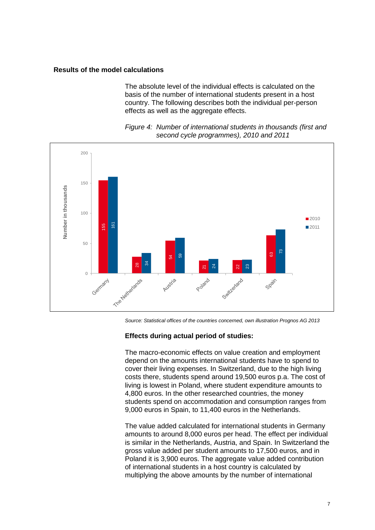## **Results of the model calculations**

The absolute level of the individual effects is calculated on the basis of the number of international students present in a host country. The following describes both the individual per-person effects as well as the aggregate effects.





*Source: Statistical offices of the countries concerned, own illustration Prognos AG 2013*

#### **Effects during actual period of studies:**

The macro-economic effects on value creation and employment depend on the amounts international students have to spend to cover their living expenses. In Switzerland, due to the high living costs there, students spend around 19,500 euros p.a. The cost of living is lowest in Poland, where student expenditure amounts to 4,800 euros. In the other researched countries, the money students spend on accommodation and consumption ranges from 9,000 euros in Spain, to 11,400 euros in the Netherlands.

The value added calculated for international students in Germany amounts to around 8,000 euros per head. The effect per individual is similar in the Netherlands, Austria, and Spain. In Switzerland the gross value added per student amounts to 17,500 euros, and in Poland it is 3,900 euros. The aggregate value added contribution of international students in a host country is calculated by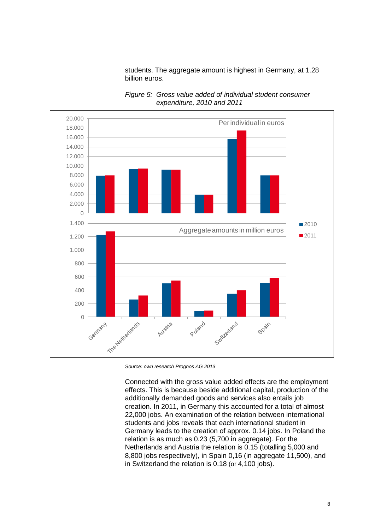students. The aggregate amount is highest in Germany, at 1.28 billion euros.



*Figure 5: Gross value added of individual student consumer expenditure, 2010 and 2011*

Connected with the gross value added effects are the employment effects. This is because beside additional capital, production of the additionally demanded goods and services also entails job creation. In 2011, in Germany this accounted for a total of almost 22,000 jobs. An examination of the relation between international students and jobs reveals that each international student in Germany leads to the creation of approx. 0.14 jobs. In Poland the relation is as much as 0.23 (5,700 in aggregate). For the Netherlands and Austria the relation is 0.15 (totalling 5,000 and 8,800 jobs respectively), in Spain 0,16 (in aggregate 11,500), and in Switzerland the relation is 0.18 (or 4,100 jobs).

*Source: own research Prognos AG 2013*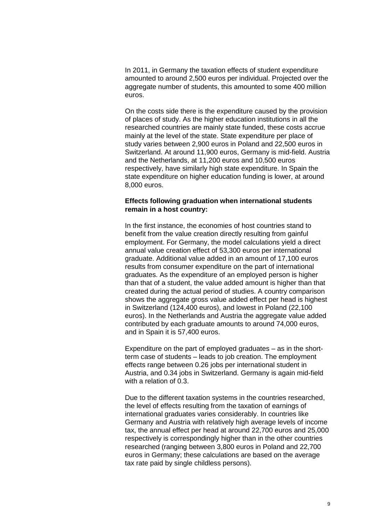In 2011, in Germany the taxation effects of student expenditure amounted to around 2,500 euros per individual. Projected over the aggregate number of students, this amounted to some 400 million euros.

On the costs side there is the expenditure caused by the provision of places of study. As the higher education institutions in all the researched countries are mainly state funded, these costs accrue mainly at the level of the state. State expenditure per place of study varies between 2,900 euros in Poland and 22,500 euros in Switzerland. At around 11,900 euros, Germany is mid-field. Austria and the Netherlands, at 11,200 euros and 10,500 euros respectively, have similarly high state expenditure. In Spain the state expenditure on higher education funding is lower, at around 8,000 euros.

# **Effects following graduation when international students remain in a host country:**

In the first instance, the economies of host countries stand to benefit from the value creation directly resulting from gainful employment. For Germany, the model calculations yield a direct annual value creation effect of 53,300 euros per international graduate. Additional value added in an amount of 17,100 euros results from consumer expenditure on the part of international graduates. As the expenditure of an employed person is higher than that of a student, the value added amount is higher than that created during the actual period of studies. A country comparison shows the aggregate gross value added effect per head is highest in Switzerland (124,400 euros), and lowest in Poland (22,100 euros). In the Netherlands and Austria the aggregate value added contributed by each graduate amounts to around 74,000 euros, and in Spain it is 57,400 euros.

Expenditure on the part of employed graduates – as in the shortterm case of students – leads to job creation. The employment effects range between 0.26 jobs per international student in Austria, and 0.34 jobs in Switzerland. Germany is again mid-field with a relation of 0.3.

Due to the different taxation systems in the countries researched, the level of effects resulting from the taxation of earnings of international graduates varies considerably. In countries like Germany and Austria with relatively high average levels of income tax, the annual effect per head at around 22,700 euros and 25,000 respectively is correspondingly higher than in the other countries researched (ranging between 3,800 euros in Poland and 22,700 euros in Germany; these calculations are based on the average tax rate paid by single childless persons).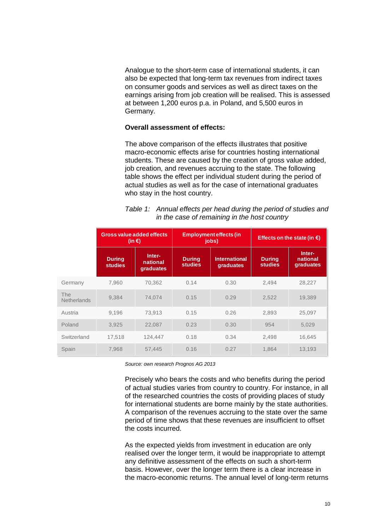Analogue to the short-term case of international students, it can also be expected that long-term tax revenues from indirect taxes on consumer goods and services as well as direct taxes on the earnings arising from job creation will be realised. This is assessed at between 1,200 euros p.a. in Poland, and 5,500 euros in Germany.

#### **Overall assessment of effects:**

The above comparison of the effects illustrates that positive macro-economic effects arise for countries hosting international students. These are caused by the creation of gross value added, job creation, and revenues accruing to the state. The following table shows the effect per individual student during the period of actual studies as well as for the case of international graduates who stay in the host country.

| Table 1: Annual effects per head during the period of studies and |
|-------------------------------------------------------------------|
| in the case of remaining in the host country                      |

|                           | <b>Gross value added effects</b><br>(in €) |                                 | <b>Employment effects (in</b><br>jobs) |                                   | Effects on the state (in $\epsilon$ ) |                                 |
|---------------------------|--------------------------------------------|---------------------------------|----------------------------------------|-----------------------------------|---------------------------------------|---------------------------------|
|                           | <b>During</b><br><b>studies</b>            | Inter-<br>national<br>graduates | <b>During</b><br><b>studies</b>        | <b>International</b><br>graduates | <b>During</b><br><b>studies</b>       | Inter-<br>national<br>graduates |
| Germany                   | 7.960                                      | 70.362                          | 0.14                                   | 0.30                              | 2.494                                 | 28,227                          |
| The<br><b>Netherlands</b> | 9,384                                      | 74,074                          | 0.15                                   | 0.29                              | 2,522                                 | 19,389                          |
| Austria                   | 9.196                                      | 73,913                          | 0.15                                   | 0.26                              | 2,893                                 | 25,097                          |
| Poland                    | 3,925                                      | 22,087                          | 0.23                                   | 0.30                              | 954                                   | 5,029                           |
| Switzerland               | 17,518                                     | 124,447                         | 0.18                                   | 0.34                              | 2,498                                 | 16,645                          |
| Spain                     | 7,968                                      | 57,445                          | 0.16                                   | 0.27                              | 1.864                                 | 13.193                          |

*Source: own research Prognos AG 2013*

Precisely who bears the costs and who benefits during the period of actual studies varies from country to country. For instance, in all of the researched countries the costs of providing places of study for international students are borne mainly by the state authorities. A comparison of the revenues accruing to the state over the same period of time shows that these revenues are insufficient to offset the costs incurred.

As the expected yields from investment in education are only realised over the longer term, it would be inappropriate to attempt any definitive assessment of the effects on such a short-term basis. However, over the longer term there is a clear increase in the macro-economic returns. The annual level of long-term returns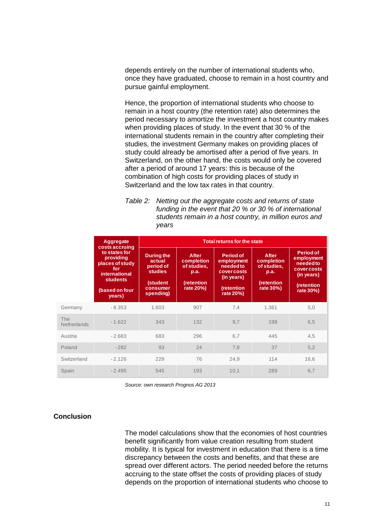depends entirely on the number of international students who, once they have graduated, choose to remain in a host country and pursue gainful employment.

Hence, the proportion of international students who choose to remain in a host country (the retention rate) also determines the period necessary to amortize the investment a host country makes when providing places of study. In the event that 30 % of the international students remain in the country after completing their studies, the investment Germany makes on providing places of study could already be amortised after a period of five years. In Switzerland, on the other hand, the costs would only be covered after a period of around 17 years: this is because of the combination of high costs for providing places of study in Switzerland and the low tax rates in that country.

*Table 2: Netting out the aggregate costs and returns of state funding in the event that 20 % or 30 % of international students remain in a host country, in million euros and years*

|                                  | Aggregate<br>costs accruing<br>to states for<br>providing<br>places of study<br>for<br><b>international</b><br><b>students</b><br>(based on four<br>years) | <b>Total returns for the state</b>                                                              |                                                                       |                                                                                                    |                                                                       |                                                                                             |  |
|----------------------------------|------------------------------------------------------------------------------------------------------------------------------------------------------------|-------------------------------------------------------------------------------------------------|-----------------------------------------------------------------------|----------------------------------------------------------------------------------------------------|-----------------------------------------------------------------------|---------------------------------------------------------------------------------------------|--|
|                                  |                                                                                                                                                            | <b>During the</b><br>actual<br>period of<br><b>studies</b><br>(student<br>consumer<br>spending) | After<br>completion<br>of studies,<br>p.a.<br>(retention<br>rate 20%) | Period of<br>employment<br>neededto<br><b>cover costs</b><br>(in years)<br>(retention<br>rate 20%) | After<br>completion<br>of studies,<br>p.a.<br>(retention<br>rate 30%) | Period of<br>employment<br>neededto<br>cover costs<br>(in years)<br>(retention<br>rate 30%) |  |
| Germany                          | $-8.353$                                                                                                                                                   | 1.603                                                                                           | 907                                                                   | 7,4                                                                                                | 1.361                                                                 | 5,0                                                                                         |  |
| <b>The</b><br><b>Netherlands</b> | $-1.622$                                                                                                                                                   | 343                                                                                             | 132                                                                   | 9,7                                                                                                | 198                                                                   | 6,5                                                                                         |  |
| Austria                          | $-2.683$                                                                                                                                                   | 683                                                                                             | 296                                                                   | 6,7                                                                                                | 445                                                                   | 4,5                                                                                         |  |
| Poland                           | $-282$                                                                                                                                                     | 93                                                                                              | 24                                                                    | 7,8                                                                                                | 37                                                                    | 5,2                                                                                         |  |
| Switzerland                      | $-2.126$                                                                                                                                                   | 229                                                                                             | 76                                                                    | 24,9                                                                                               | 114                                                                   | 16,6                                                                                        |  |
| Spain                            | $-2.495$                                                                                                                                                   | 545                                                                                             | 193                                                                   | 10,1                                                                                               | 289                                                                   | 6,7                                                                                         |  |

*Source: own research Prognos AG 2013*

# **Conclusion**

The model calculations show that the economies of host countries benefit significantly from value creation resulting from student mobility. It is typical for investment in education that there is a time discrepancy between the costs and benefits, and that these are spread over different actors. The period needed before the returns accruing to the state offset the costs of providing places of study depends on the proportion of international students who choose to